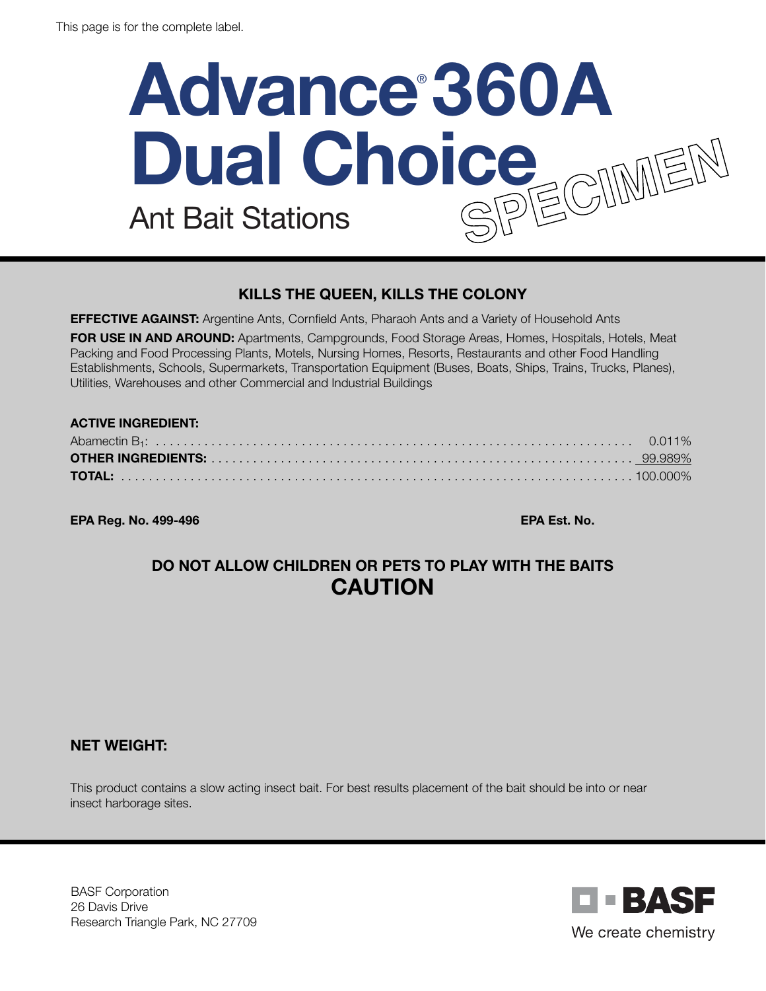# **Advance**® **360A Dual Choice** Ant Bait Stations

## KILLS THE QUEEN, KILLS THE COLONY

**EFFECTIVE AGAINST:** Argentine Ants, Cornfield Ants, Pharaoh Ants and a Variety of Household Ants

FOR USE IN AND AROUND: Apartments, Campgrounds, Food Storage Areas, Homes, Hospitals, Hotels, Meat Packing and Food Processing Plants, Motels, Nursing Homes, Resorts, Restaurants and other Food Handling Establishments, Schools, Supermarkets, Transportation Equipment (Buses, Boats, Ships, Trains, Trucks, Planes), Utilities, Warehouses and other Commercial and Industrial Buildings

#### ACTIVE INGREDIENT:

EPA Reg. No. 499-496 EPA Est. No.

## DO NOT ALLOW CHILDREN OR PETS TO PLAY WITH THE BAITS CAUTION

#### NET WEIGHT:

This product contains a slow acting insect bait. For best results placement of the bait should be into or near insect harborage sites.

BASF Corporation 26 Davis Drive Research Triangle Park, NC 27709

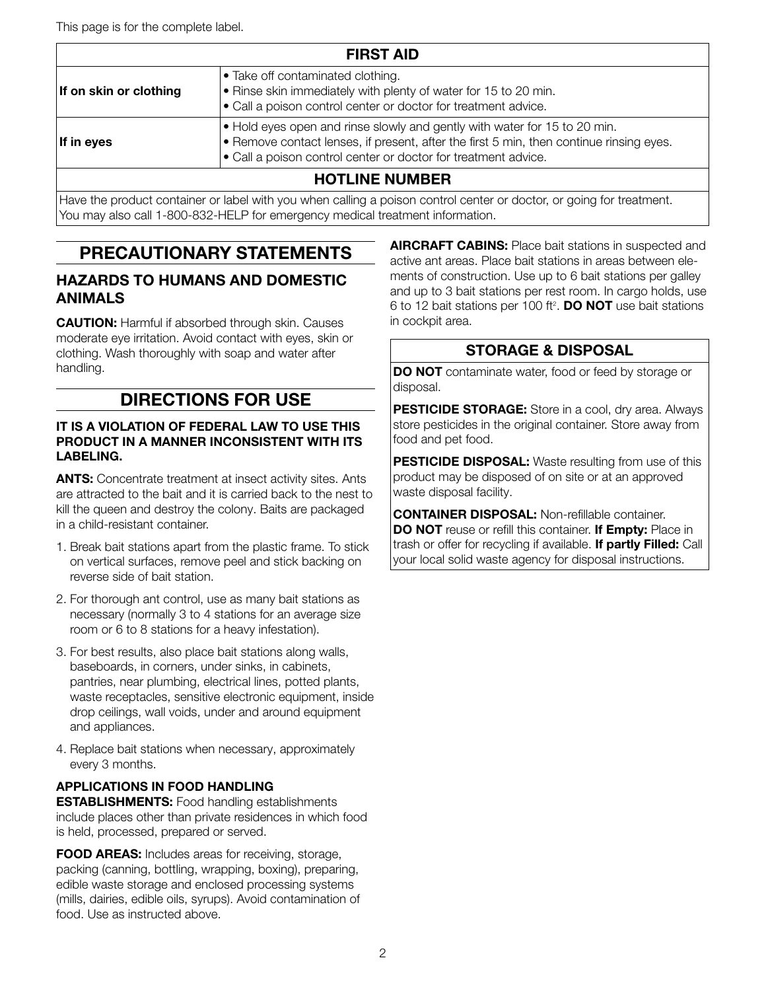This page is for the complete label.

| <b>FIRST AID</b>       |                                                                                                                                                                                                                                                |  |
|------------------------|------------------------------------------------------------------------------------------------------------------------------------------------------------------------------------------------------------------------------------------------|--|
| If on skin or clothing | • Take off contaminated clothing.<br>. Rinse skin immediately with plenty of water for 15 to 20 min.<br>• Call a poison control center or doctor for treatment advice.                                                                         |  |
| If in eyes             | $\bullet$ Hold eyes open and rinse slowly and gently with water for 15 to 20 min.<br>• Remove contact lenses, if present, after the first 5 min, then continue rinsing eyes.<br>• Call a poison control center or doctor for treatment advice. |  |
|                        | <b>HOTLINE NUMBER</b>                                                                                                                                                                                                                          |  |
|                        | Have the product container or label with you when calling a poison control center or doctor, or going for treatment.                                                                                                                           |  |

You may also call 1-800-832-HELP for emergency medical treatment information.

## PRECAUTIONARY STATEMENTS

#### HAZARDS TO HUMANS AND DOMESTIC ANIMALS

**CAUTION:** Harmful if absorbed through skin. Causes moderate eye irritation. Avoid contact with eyes, skin or clothing. Wash thoroughly with soap and water after handling.

## DIRECTIONS FOR USE

#### IT IS A VIOLATION OF FEDERAL LAW TO USE THIS PRODUCT IN A MANNER INCONSISTENT WITH ITS LABELING.

**ANTS:** Concentrate treatment at insect activity sites. Ants are attracted to the bait and it is carried back to the nest to kill the queen and destroy the colony. Baits are packaged in a child-resistant container.

- 1. Break bait stations apart from the plastic frame. To stick on vertical surfaces, remove peel and stick backing on reverse side of bait station.
- 2. For thorough ant control, use as many bait stations as necessary (normally 3 to 4 stations for an average size room or 6 to 8 stations for a heavy infestation).
- 3. For best results, also place bait stations along walls, baseboards, in corners, under sinks, in cabinets, pantries, near plumbing, electrical lines, potted plants, waste receptacles, sensitive electronic equipment, inside drop ceilings, wall voids, under and around equipment and appliances.
- 4. Replace bait stations when necessary, approximately every 3 months.

#### APPLICATIONS IN FOOD HANDLING

**ESTABLISHMENTS:** Food handling establishments include places other than private residences in which food is held, processed, prepared or served.

FOOD AREAS: Includes areas for receiving, storage, packing (canning, bottling, wrapping, boxing), preparing, edible waste storage and enclosed processing systems (mills, dairies, edible oils, syrups). Avoid contamination of food. Use as instructed above.

**AIRCRAFT CABINS:** Place bait stations in suspected and active ant areas. Place bait stations in areas between elements of construction. Use up to 6 bait stations per galley and up to 3 bait stations per rest room. In cargo holds, use 6 to 12 bait stations per 100 ft<sup>2</sup>. **DO NOT** use bait stations in cockpit area.

## STORAGE & DISPOSAL

DO NOT contaminate water, food or feed by storage or disposal.

PESTICIDE STORAGE: Store in a cool, dry area. Always store pesticides in the original container. Store away from food and pet food.

PESTICIDE DISPOSAL: Waste resulting from use of this product may be disposed of on site or at an approved waste disposal facility.

CONTAINER DISPOSAL: Non-refillable container. DO NOT reuse or refill this container. If Empty: Place in trash or offer for recycling if available. If partly Filled: Call your local solid waste agency for disposal instructions.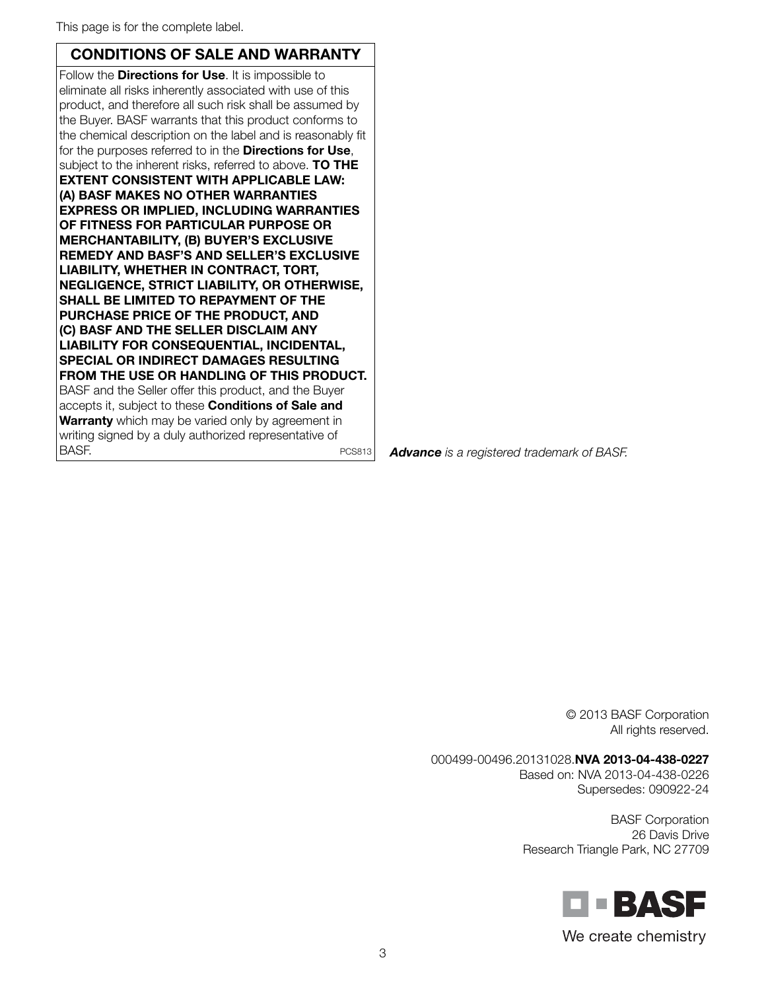This page is for the complete label.

### CONDITIONS OF SALE AND WARRANTY

Follow the **Directions for Use**. It is impossible to eliminate all risks inherently associated with use of this product, and therefore all such risk shall be assumed by the Buyer. BASF warrants that this product conforms to the chemical description on the label and is reasonably fit for the purposes referred to in the **Directions for Use**, subject to the inherent risks, referred to above. TO THE EXTENT CONSISTENT WITH APPLICABLE LAW: (A) BASF MAKES NO OTHER WARRANTIES EXPRESS OR IMPLIED, INCLUDING WARRANTIES OF FITNESS FOR PARTICULAR PURPOSE OR MERCHANTABILITY, (B) BUYER'S EXCLUSIVE REMEDY AND BASF'S AND SELLER'S EXCLUSIVE LIABILITY, WHETHER IN CONTRACT, TORT, NEGLIGENCE, STRICT LIABILITY, OR OTHERWISE, SHALL BE LIMITED TO REPAYMENT OF THE PURCHASE PRICE OF THE PRODUCT, AND (C) BASF AND THE SELLER DISCLAIM ANY LIABILITY FOR CONSEQUENTIAL, INCIDENTAL, SPECIAL OR INDIRECT DAMAGES RESULTING FROM THE USE OR HANDLING OF THIS PRODUCT. BASF and the Seller offer this product, and the Buyer accepts it, subject to these Conditions of Sale and Warranty which may be varied only by agreement in writing signed by a duly authorized representative of BASF. PCS813

*Advance is a registered trademark of BASF.*

© 2013 BASF Corporation All rights reserved.

## 000499-00496.20131028.NVA 2013-04-438-0227

Based on: NVA 2013-04-438-0226 Supersedes: 090922-24

BASF Corporation 26 Davis Drive Research Triangle Park, NC 27709



We create chemistry